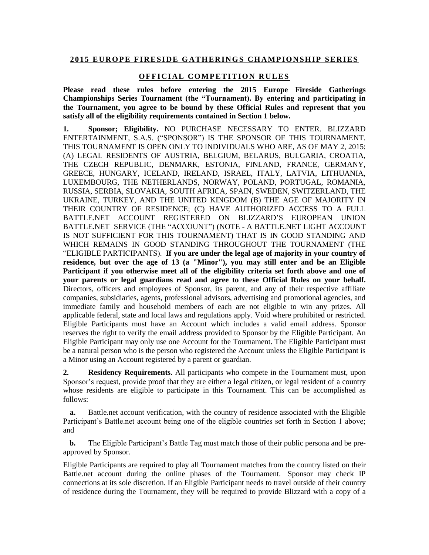## **2 0 1 5 E U R O P E F I R E S I D E G A T H E R I N G S C H A M P I O N S H I P SE R I E S**

## **OFFICIAL COMPETITION RULES**

**Please read these rules before entering the 2015 Europe Fireside Gatherings Championships Series Tournament (the "Tournament). By entering and participating in the Tournament, you agree to be bound by these Official Rules and represent that you satisfy all of the eligibility requirements contained in Section 1 below.** 

**1. Sponsor; Eligibility.** NO PURCHASE NECESSARY TO ENTER. BLIZZARD ENTERTAINMENT, S.A.S. ("SPONSOR") IS THE SPONSOR OF THIS TOURNAMENT. THIS TOURNAMENT IS OPEN ONLY TO INDIVIDUALS WHO ARE, AS OF MAY 2, 2015: (A) LEGAL RESIDENTS OF AUSTRIA, BELGIUM, BELARUS, BULGARIA, CROATIA, THE CZECH REPUBLIC, DENMARK, ESTONIA, FINLAND, FRANCE, GERMANY, GREECE, HUNGARY, ICELAND, IRELAND, ISRAEL, ITALY, LATVIA, LITHUANIA, LUXEMBOURG, THE NETHERLANDS, NORWAY, POLAND, PORTUGAL, ROMANIA, RUSSIA, SERBIA, SLOVAKIA, SOUTH AFRICA, SPAIN, SWEDEN, SWITZERLAND, THE UKRAINE, TURKEY, AND THE UNITED KINGDOM (B) THE AGE OF MAJORITY IN THEIR COUNTRY OF RESIDENCE; (C) HAVE AUTHORIZED ACCESS TO A FULL BATTLE.NET ACCOUNT REGISTERED ON BLIZZARD'S EUROPEAN UNION BATTLE.NET SERVICE (THE "ACCOUNT") (NOTE - A BATTLE.NET LIGHT ACCOUNT IS NOT SUFFICIENT FOR THIS TOURNAMENT) THAT IS IN GOOD STANDING AND WHICH REMAINS IN GOOD STANDING THROUGHOUT THE TOURNAMENT (THE "ELIGIBLE PARTICIPANTS). **If you are under the legal age of majority in your country of residence, but over the age of 13 (a "Minor"), you may still enter and be an Eligible Participant if you otherwise meet all of the eligibility criteria set forth above and one of your parents or legal guardians read and agree to these Official Rules on your behalf.** Directors, officers and employees of Sponsor, its parent, and any of their respective affiliate companies, subsidiaries, agents, professional advisors, advertising and promotional agencies, and immediate family and household members of each are not eligible to win any prizes. All applicable federal, state and local laws and regulations apply. Void where prohibited or restricted. Eligible Participants must have an Account which includes a valid email address. Sponsor reserves the right to verify the email address provided to Sponsor by the Eligible Participant. An Eligible Participant may only use one Account for the Tournament. The Eligible Participant must be a natural person who is the person who registered the Account unless the Eligible Participant is a Minor using an Account registered by a parent or guardian.

**2. Residency Requirements.** All participants who compete in the Tournament must, upon Sponsor's request, provide proof that they are either a legal citizen, or legal resident of a country whose residents are eligible to participate in this Tournament. This can be accomplished as follows:

**a.** Battle.net account verification, with the country of residence associated with the Eligible Participant's Battle.net account being one of the eligible countries set forth in Section 1 above; and

**b.** The Eligible Participant's Battle Tag must match those of their public persona and be preapproved by Sponsor.

Eligible Participants are required to play all Tournament matches from the country listed on their Battle.net account during the online phases of the Tournament. Sponsor may check IP connections at its sole discretion. If an Eligible Participant needs to travel outside of their country of residence during the Tournament, they will be required to provide Blizzard with a copy of a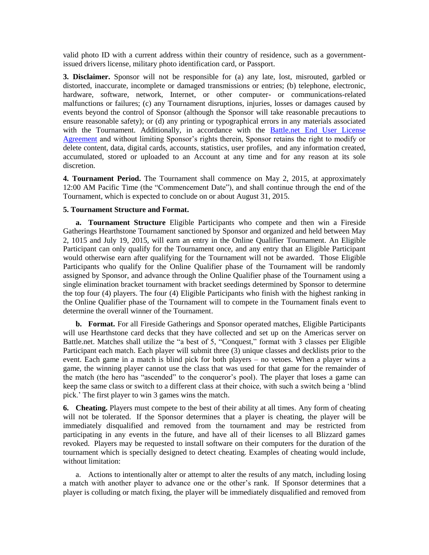valid photo ID with a current address within their country of residence, such as a governmentissued drivers license, military photo identification card, or Passport.

**3. Disclaimer.** Sponsor will not be responsible for (a) any late, lost, misrouted, garbled or distorted, inaccurate, incomplete or damaged transmissions or entries; (b) telephone, electronic, hardware, software, network, Internet, or other computer- or communications-related malfunctions or failures; (c) any Tournament disruptions, injuries, losses or damages caused by events beyond the control of Sponsor (although the Sponsor will take reasonable precautions to ensure reasonable safety); or (d) any printing or typographical errors in any materials associated with the Tournament. Additionally, in accordance with the [Battle.net End User License](http://eu.blizzard.com/en-us/company/legal/eula.html)  [Agreement](http://eu.blizzard.com/en-us/company/legal/eula.html) and without limiting Sponsor's rights therein, Sponsor retains the right to modify or delete content, data, digital cards, accounts, statistics, user profiles, and any information created, accumulated, stored or uploaded to an Account at any time and for any reason at its sole discretion.

**4. Tournament Period.** The Tournament shall commence on May 2, 2015, at approximately 12:00 AM Pacific Time (the "Commencement Date"), and shall continue through the end of the Tournament, which is expected to conclude on or about August 31, 2015.

## **5. Tournament Structure and Format.**

**a. Tournament Structure** Eligible Participants who compete and then win a Fireside Gatherings Hearthstone Tournament sanctioned by Sponsor and organized and held between May 2, 1015 and July 19, 2015, will earn an entry in the Online Qualifier Tournament. An Eligible Participant can only qualify for the Tournament once, and any entry that an Eligible Participant would otherwise earn after qualifying for the Tournament will not be awarded. Those Eligible Participants who qualify for the Online Qualifier phase of the Tournament will be randomly assigned by Sponsor, and advance through the Online Qualifier phase of the Tournament using a single elimination bracket tournament with bracket seedings determined by Sponsor to determine the top four (4) players. The four (4) Eligible Participants who finish with the highest ranking in the Online Qualifier phase of the Tournament will to compete in the Tournament finals event to determine the overall winner of the Tournament.

**b. Format.** For all Fireside Gatherings and Sponsor operated matches, Eligible Participants will use Hearthstone card decks that they have collected and set up on the Americas server on Battle.net. Matches shall utilize the "a best of 5, "Conquest," format with 3 classes per Eligible Participant each match. Each player will submit three (3) unique classes and decklists prior to the event. Each game in a match is blind pick for both players – no vetoes. When a player wins a game, the winning player cannot use the class that was used for that game for the remainder of the match (the hero has "ascended" to the conqueror's pool). The player that loses a game can keep the same class or switch to a different class at their choice, with such a switch being a 'blind pick.' The first player to win 3 games wins the match.

**6. Cheating.** Players must compete to the best of their ability at all times. Any form of cheating will not be tolerated. If the Sponsor determines that a player is cheating, the player will be immediately disqualified and removed from the tournament and may be restricted from participating in any events in the future, and have all of their licenses to all Blizzard games revoked. Players may be requested to install software on their computers for the duration of the tournament which is specially designed to detect cheating. Examples of cheating would include, without limitation:

a. Actions to intentionally alter or attempt to alter the results of any match, including losing a match with another player to advance one or the other's rank. If Sponsor determines that a player is colluding or match fixing, the player will be immediately disqualified and removed from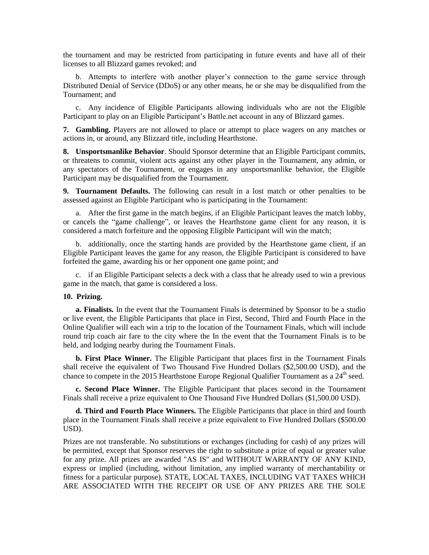the tournament and may be restricted from participating in future events and have all of their licenses to all Blizzard games revoked; and

b. Attempts to interfere with another player's connection to the game service through Distributed Denial of Service (DDoS) or any other means, he or she may be disqualified from the Tournament; and

c. Any incidence of Eligible Participants allowing individuals who are not the Eligible Participant to play on an Eligible Participant's Battle.net account in any of Blizzard games.

**7. Gambling.** Players are not allowed to place or attempt to place wagers on any matches or actions in, or around, any Blizzard title, including Hearthstone.

**8. Unsportsmanlike Behavior**. Should Sponsor determine that an Eligible Participant commits, or threatens to commit, violent acts against any other player in the Tournament, any admin, or any spectators of the Tournament, or engages in any unsportsmanlike behavior, the Eligible Participant may be disqualified from the Tournament.

**9. Tournament Defaults.** The following can result in a lost match or other penalties to be assessed against an Eligible Participant who is participating in the Tournament:

a. After the first game in the match begins, if an Eligible Participant leaves the match lobby, or cancels the "game challenge", or leaves the Hearthstone game client for any reason, it is considered a match forfeiture and the opposing Eligible Participant will win the match;

b. additionally, once the starting hands are provided by the Hearthstone game client, if an Eligible Participant leaves the game for any reason, the Eligible Participant is considered to have forfeited the game, awarding his or her opponent one game point; and

c. if an Eligible Participant selects a deck with a class that he already used to win a previous game in the match, that game is considered a loss.

## **10. Prizing.**

**a. Finalists.** In the event that the Tournament Finals is determined by Sponsor to be a studio or live event, the Eligible Participants that place in First, Second, Third and Fourth Place in the Online Qualifier will each win a trip to the location of the Tournament Finals, which will include round trip coach air fare to the city where the In the event that the Tournament Finals is to be held, and lodging nearby during the Tournament Finals.

**b. First Place Winner.** The Eligible Participant that places first in the Tournament Finals shall receive the equivalent of Two Thousand Five Hundred Dollars (\$2,500.00 USD), and the chance to compete in the 2015 Hearthstone Europe Regional Qualifier Tournament as a  $24^{\text{th}}$  seed.

**c. Second Place Winner.** The Eligible Participant that places second in the Tournament Finals shall receive a prize equivalent to One Thousand Five Hundred Dollars (\$1,500.00 USD).

**d. Third and Fourth Place Winners.** The Eligible Participants that place in third and fourth place in the Tournament Finals shall receive a prize equivalent to Five Hundred Dollars (\$500.00 USD).

Prizes are not transferable. No substitutions or exchanges (including for cash) of any prizes will be permitted, except that Sponsor reserves the right to substitute a prize of equal or greater value for any prize. All prizes are awarded "AS IS" and WITHOUT WARRANTY OF ANY KIND, express or implied (including, without limitation, any implied warranty of merchantability or fitness for a particular purpose). STATE, LOCAL TAXES, INCLUDING VAT TAXES WHICH ARE ASSOCIATED WITH THE RECEIPT OR USE OF ANY PRIZES ARE THE SOLE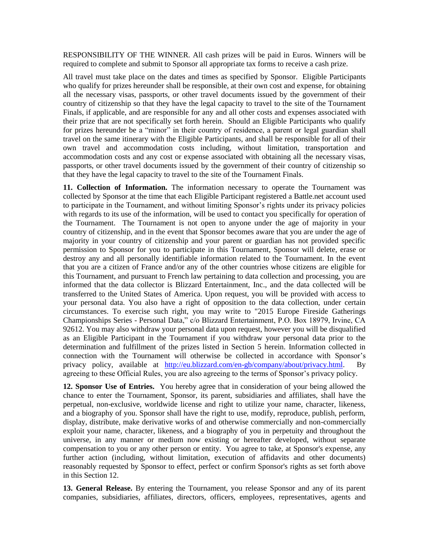RESPONSIBILITY OF THE WINNER. All cash prizes will be paid in Euros. Winners will be required to complete and submit to Sponsor all appropriate tax forms to receive a cash prize.

All travel must take place on the dates and times as specified by Sponsor. Eligible Participants who qualify for prizes hereunder shall be responsible, at their own cost and expense, for obtaining all the necessary visas, passports, or other travel documents issued by the government of their country of citizenship so that they have the legal capacity to travel to the site of the Tournament Finals, if applicable, and are responsible for any and all other costs and expenses associated with their prize that are not specifically set forth herein. Should an Eligible Participants who qualify for prizes hereunder be a "minor" in their country of residence, a parent or legal guardian shall travel on the same itinerary with the Eligible Participants, and shall be responsible for all of their own travel and accommodation costs including, without limitation, transportation and accommodation costs and any cost or expense associated with obtaining all the necessary visas, passports, or other travel documents issued by the government of their country of citizenship so that they have the legal capacity to travel to the site of the Tournament Finals.

**11. Collection of Information.** The information necessary to operate the Tournament was collected by Sponsor at the time that each Eligible Participant registered a Battle.net account used to participate in the Tournament, and without limiting Sponsor's rights under its privacy policies with regards to its use of the information, will be used to contact you specifically for operation of the Tournament. The Tournament is not open to anyone under the age of majority in your country of citizenship, and in the event that Sponsor becomes aware that you are under the age of majority in your country of citizenship and your parent or guardian has not provided specific permission to Sponsor for you to participate in this Tournament, Sponsor will delete, erase or destroy any and all personally identifiable information related to the Tournament. In the event that you are a citizen of France and/or any of the other countries whose citizens are eligible for this Tournament, and pursuant to French law pertaining to data collection and processing, you are informed that the data collector is Blizzard Entertainment, Inc., and the data collected will be transferred to the United States of America. Upon request, you will be provided with access to your personal data. You also have a right of opposition to the data collection, under certain circumstances. To exercise such right, you may write to "2015 Europe Fireside Gatherings Championships Series - Personal Data," c/o Blizzard Entertainment, P.O. Box 18979, Irvine, CA 92612. You may also withdraw your personal data upon request, however you will be disqualified as an Eligible Participant in the Tournament if you withdraw your personal data prior to the determination and fulfillment of the prizes listed in Section 5 herein. Information collected in connection with the Tournament will otherwise be collected in accordance with Sponsor's privacy policy, available at [http://eu.blizzard.com/en-gb/company/about/privacy.html.](http://eu.blizzard.com/en-gb/company/about/privacy.html) By agreeing to these Official Rules, you are also agreeing to the terms of Sponsor's privacy policy.

**12. Sponsor Use of Entries.** You hereby agree that in consideration of your being allowed the chance to enter the Tournament, Sponsor, its parent, subsidiaries and affiliates, shall have the perpetual, non-exclusive, worldwide license and right to utilize your name, character, likeness, and a biography of you. Sponsor shall have the right to use, modify, reproduce, publish, perform, display, distribute, make derivative works of and otherwise commercially and non-commercially exploit your name, character, likeness, and a biography of you in perpetuity and throughout the universe, in any manner or medium now existing or hereafter developed, without separate compensation to you or any other person or entity. You agree to take, at Sponsor's expense, any further action (including, without limitation, execution of affidavits and other documents) reasonably requested by Sponsor to effect, perfect or confirm Sponsor's rights as set forth above in this Section 12.

**13. General Release.** By entering the Tournament, you release Sponsor and any of its parent companies, subsidiaries, affiliates, directors, officers, employees, representatives, agents and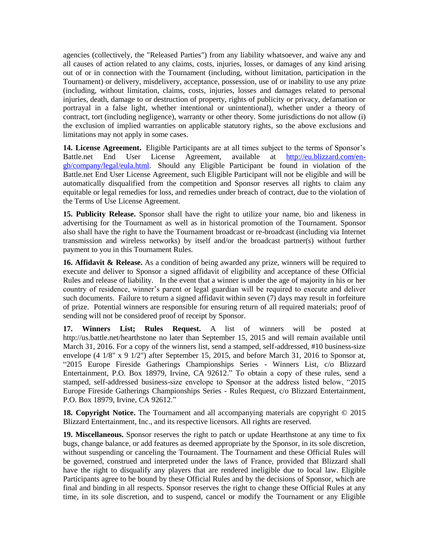agencies (collectively, the "Released Parties") from any liability whatsoever, and waive any and all causes of action related to any claims, costs, injuries, losses, or damages of any kind arising out of or in connection with the Tournament (including, without limitation, participation in the Tournament) or delivery, misdelivery, acceptance, possession, use of or inability to use any prize (including, without limitation, claims, costs, injuries, losses and damages related to personal injuries, death, damage to or destruction of property, rights of publicity or privacy, defamation or portrayal in a false light, whether intentional or unintentional), whether under a theory of contract, tort (including negligence), warranty or other theory. Some jurisdictions do not allow (i) the exclusion of implied warranties on applicable statutory rights, so the above exclusions and limitations may not apply in some cases.

**14. License Agreement.** Eligible Participants are at all times subject to the terms of Sponsor's Battle.net End User License Agreement, available at [http://eu.blizzard.com/en](http://eu.blizzard.com/en-gb/company/legal/eula.html)[gb/company/legal/eula.html.](http://eu.blizzard.com/en-gb/company/legal/eula.html) Should any Eligible Participant be found in violation of the Battle.net End User License Agreement, such Eligible Participant will not be eligible and will be automatically disqualified from the competition and Sponsor reserves all rights to claim any equitable or legal remedies for loss, and remedies under breach of contract, due to the violation of the Terms of Use License Agreement.

**15. Publicity Release.** Sponsor shall have the right to utilize your name, bio and likeness in advertising for the Tournament as well as in historical promotion of the Tournament. Sponsor also shall have the right to have the Tournament broadcast or re-broadcast (including via Internet transmission and wireless networks) by itself and/or the broadcast partner(s) without further payment to you in this Tournament Rules.

**16. Affidavit & Release.** As a condition of being awarded any prize, winners will be required to execute and deliver to Sponsor a signed affidavit of eligibility and acceptance of these Official Rules and release of liability. In the event that a winner is under the age of majority in his or her country of residence, winner's parent or legal guardian will be required to execute and deliver such documents. Failure to return a signed affidavit within seven  $(7)$  days may result in forfeiture of prize. Potential winners are responsible for ensuring return of all required materials; proof of sending will not be considered proof of receipt by Sponsor.

**17. Winners List; Rules Request.** A list of winners will be posted at http://us.battle.net/hearthstone no later than September 15, 2015 and will remain available until March 31, 2016. For a copy of the winners list, send a stamped, self-addressed, #10 business-size envelope  $(4\ 1/8$ " x  $9\ 1/2$ ") after September 15, 2015, and before March 31, 2016 to Sponsor at, "2015 Europe Fireside Gatherings Championships Series - Winners List, c/o Blizzard Entertainment, P.O. Box 18979, Irvine, CA 92612." To obtain a copy of these rules, send a stamped, self-addressed business-size envelope to Sponsor at the address listed below, "2015 Europe Fireside Gatherings Championships Series - Rules Request, c/o Blizzard Entertainment, P.O. Box 18979, Irvine, CA 92612."

18. Copyright Notice. The Tournament and all accompanying materials are copyright  $\odot$  2015 Blizzard Entertainment, Inc., and its respective licensors. All rights are reserved.

**19. Miscellaneous.** Sponsor reserves the right to patch or update Hearthstone at any time to fix bugs, change balance, or add features as deemed appropriate by the Sponsor, in its sole discretion, without suspending or canceling the Tournament. The Tournament and these Official Rules will be governed, construed and interpreted under the laws of France, provided that Blizzard shall have the right to disqualify any players that are rendered ineligible due to local law. Eligible Participants agree to be bound by these Official Rules and by the decisions of Sponsor, which are final and binding in all respects. Sponsor reserves the right to change these Official Rules at any time, in its sole discretion, and to suspend, cancel or modify the Tournament or any Eligible